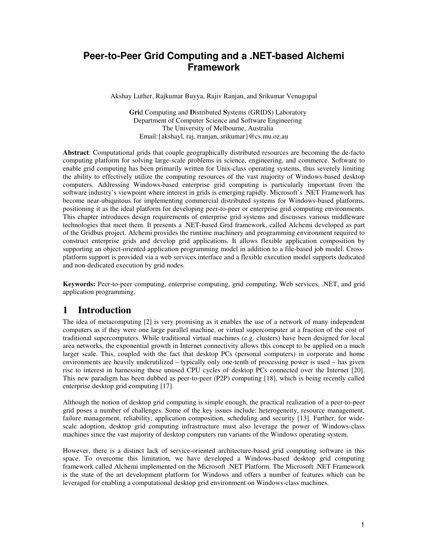# Peer-to-Peer Grid Computing and a .NET-based Alchemi Framework

Akshay Luther, Rajkumar Buyya, Rajiv Ranjan, and Srikumar Venugopal

Grid Computing and Distributed Systems (GRIDS) Laboratory Department of Computer Science and Software Engineering The University of Melbourne, Australia Email:{akshayl, raj, rranjan, srikumar}@cs.mu.oz.au

Abstract: Computational grids that couple geographically distributed resources are becoming the de-facto computing platform for solving large-scale problems in science, engineering, and commerce. Software to enable grid computing has been primarily written for Unix-class operating systems, thus severely limiting the ability to effectively utilize the computing resources of the vast majority of Windows-based desktop computers. Addressing Windows-based enterprise grid computing is particularly important from the software industry's viewpoint where interest in grids is emerging rapidly. Microsoft's .NET Framework has become near-ubiquitous for implementing commercial distributed systems for Windows-based platforms, positioning it as the ideal platform for developing peer-to-peer or enterprise grid computing environments. This chapter introduces design requirements of enterprise grid systems and discusses various middleware technologies that meet them. It presents a .NET-based Grid framework, called Alchemi developed as part of the Gridbus project. Alchemi provides the runtime machinery and programming environment required to construct enterprise grids and develop grid applications. It allows flexible application composition by supporting an object-oriented application programming model in addition to a file-based job model. Crossplatform support is provided via a web services interface and a flexible execution model supports dedicated and non-dedicated execution by grid nodes.

Keywords: Peer-to-peer computing, enterprise computing, grid computing, Web services, .NET, and grid application programming.

# 1 Introduction

The idea of metacomputing [2] is very promising as it enables the use of a network of many independent computers as if they were one large parallel machine, or virtual supercomputer at a fraction of the cost of traditional supercomputers. While traditional virtual machines (e.g. clusters) have been designed for local area networks, the exponential growth in Internet connectivity allows this concept to be applied on a much larger scale. This, coupled with the fact that desktop PCs (personal computers) in corporate and home environments are heavily underutilized – typically only one-tenth of processing power is used – has given rise to interest in harnessing these unused CPU cycles of desktop PCs connected over the Internet [20]. This new paradigm has been dubbed as peer-to-peer (P2P) computing [18], which is being recently called enterprise desktop grid computing [17].

Although the notion of desktop grid computing is simple enough, the practical realization of a peer-to-peer grid poses a number of challenges. Some of the key issues include: heterogeneity, resource management, failure management, reliability, application composition, scheduling and security [13]. Further, for widescale adoption, desktop grid computing infrastructure must also leverage the power of Windows-class machines since the vast majority of desktop computers run variants of the Windows operating system.

However, there is a distinct lack of service-oriented architecture-based grid computing software in this space. To overcome this limitation, we have developed a Windows-based desktop grid computing framework called Alchemi implemented on the Microsoft .NET Platform. The Microsoft .NET Framework is the state of the art development platform for Windows and offers a number of features which can be leveraged for enabling a computational desktop grid environment on Windows-class machines.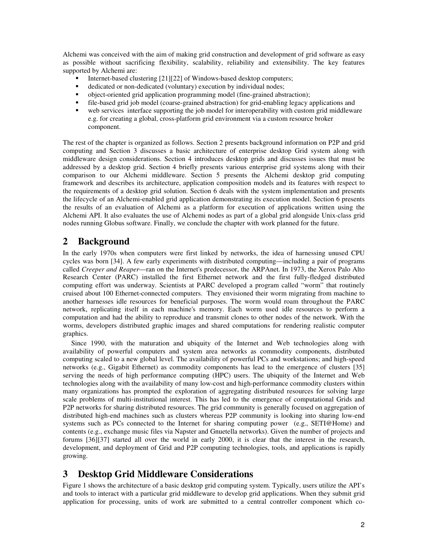Alchemi was conceived with the aim of making grid construction and development of grid software as easy as possible without sacrificing flexibility, scalability, reliability and extensibility. The key features supported by Alchemi are:

- Internet-based clustering [21][22] of Windows-based desktop computers;
- dedicated or non-dedicated (voluntary) execution by individual nodes;
- object-oriented grid application programming model (fine-grained abstraction);
- file-based grid job model (coarse-grained abstraction) for grid-enabling legacy applications and
- web services interface supporting the job model for interoperability with custom grid middleware e.g. for creating a global, cross-platform grid environment via a custom resource broker component.

The rest of the chapter is organized as follows. Section 2 presents background information on P2P and grid computing and Section 3 discusses a basic architecture of enterprise desktop Grid system along with middleware design considerations. Section 4 introduces desktop grids and discusses issues that must be addressed by a desktop grid. Section 4 briefly presents various enterprise grid systems along with their comparison to our Alchemi middleware. Section 5 presents the Alchemi desktop grid computing framework and describes its architecture, application composition models and its features with respect to the requirements of a desktop grid solution. Section 6 deals with the system implementation and presents the lifecycle of an Alchemi-enabled grid application demonstrating its execution model. Section 6 presents the results of an evaluation of Alchemi as a platform for execution of applications written using the Alchemi API. It also evaluates the use of Alchemi nodes as part of a global grid alongside Unix-class grid nodes running Globus software. Finally, we conclude the chapter with work planned for the future.

# 2 Background

In the early 1970s when computers were first linked by networks, the idea of harnessing unused CPU cycles was born [34]. A few early experiments with distributed computing—including a pair of programs called Creeper and Reaper—ran on the Internet's predecessor, the ARPAnet. In 1973, the Xerox Palo Alto Research Center (PARC) installed the first Ethernet network and the first fully-fledged distributed computing effort was underway. Scientists at PARC developed a program called "worm" that routinely cruised about 100 Ethernet-connected computers. They envisioned their worm migrating from machine to another harnesses idle resources for beneficial purposes. The worm would roam throughout the PARC network, replicating itself in each machine's memory. Each worm used idle resources to perform a computation and had the ability to reproduce and transmit clones to other nodes of the network. With the worms, developers distributed graphic images and shared computations for rendering realistic computer graphics.

Since 1990, with the maturation and ubiquity of the Internet and Web technologies along with availability of powerful computers and system area networks as commodity components, distributed computing scaled to a new global level. The availability of powerful PCs and workstations; and high-speed networks (e.g., Gigabit Ethernet) as commodity components has lead to the emergence of clusters [35] serving the needs of high performance computing (HPC) users. The ubiquity of the Internet and Web technologies along with the availability of many low-cost and high-performance commodity clusters within many organizations has prompted the exploration of aggregating distributed resources for solving large scale problems of multi-institutional interest. This has led to the emergence of computational Grids and P2P networks for sharing distributed resources. The grid community is generally focused on aggregation of distributed high-end machines such as clusters whereas P2P community is looking into sharing low-end systems such as PCs connected to the Internet for sharing computing power (e.g., SETI@Home) and contents (e.g., exchange music files via Napster and Gnuetella networks). Given the number of projects and forums [36][37] started all over the world in early 2000, it is clear that the interest in the research, development, and deployment of Grid and P2P computing technologies, tools, and applications is rapidly growing.

# 3 Desktop Grid Middleware Considerations

Figure 1 shows the architecture of a basic desktop grid computing system. Typically, users utilize the API's and tools to interact with a particular grid middleware to develop grid applications. When they submit grid application for processing, units of work are submitted to a central controller component which co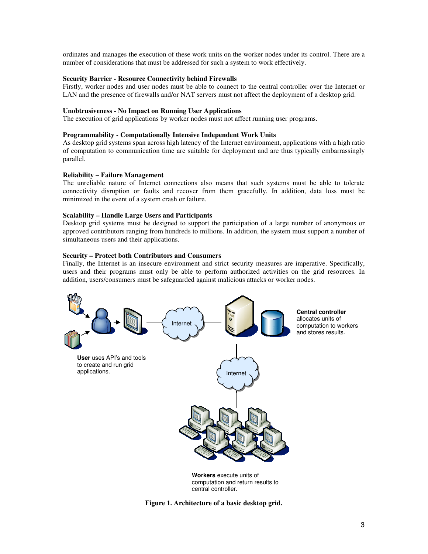ordinates and manages the execution of these work units on the worker nodes under its control. There are a number of considerations that must be addressed for such a system to work effectively.

#### Security Barrier - Resource Connectivity behind Firewalls

Firstly, worker nodes and user nodes must be able to connect to the central controller over the Internet or LAN and the presence of firewalls and/or NAT servers must not affect the deployment of a desktop grid.

#### Unobtrusiveness - No Impact on Running User Applications

The execution of grid applications by worker nodes must not affect running user programs.

#### Programmability - Computationally Intensive Independent Work Units

As desktop grid systems span across high latency of the Internet environment, applications with a high ratio of computation to communication time are suitable for deployment and are thus typically embarrassingly parallel.

#### Reliability – Failure Management

The unreliable nature of Internet connections also means that such systems must be able to tolerate connectivity disruption or faults and recover from them gracefully. In addition, data loss must be minimized in the event of a system crash or failure.

#### Scalability – Handle Large Users and Participants

Desktop grid systems must be designed to support the participation of a large number of anonymous or approved contributors ranging from hundreds to millions. In addition, the system must support a number of simultaneous users and their applications.

#### Security – Protect both Contributors and Consumers

Finally, the Internet is an insecure environment and strict security measures are imperative. Specifically, users and their programs must only be able to perform authorized activities on the grid resources. In addition, users/consumers must be safeguarded against malicious attacks or worker nodes.



computation and return results to central controller.

Figure 1. Architecture of a basic desktop grid.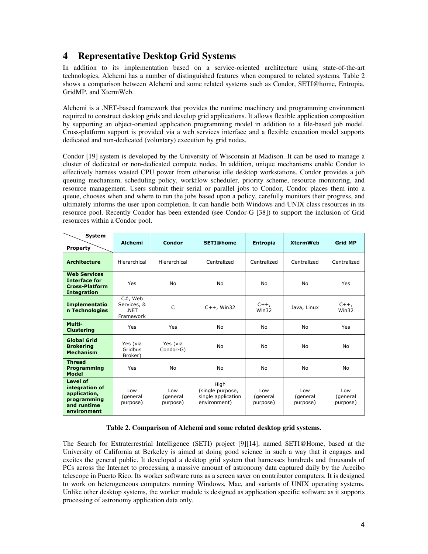# 4 Representative Desktop Grid Systems

In addition to its implementation based on a service-oriented architecture using state-of-the-art technologies, Alchemi has a number of distinguished features when compared to related systems. Table 2 shows a comparison between Alchemi and some related systems such as Condor, SETI@home, Entropia, GridMP, and XtermWeb.

Alchemi is a .NET-based framework that provides the runtime machinery and programming environment required to construct desktop grids and develop grid applications. It allows flexible application composition by supporting an object-oriented application programming model in addition to a file-based job model. Cross-platform support is provided via a web services interface and a flexible execution model supports dedicated and non-dedicated (voluntary) execution by grid nodes.

Condor [19] system is developed by the University of Wisconsin at Madison. It can be used to manage a cluster of dedicated or non-dedicated compute nodes. In addition, unique mechanisms enable Condor to effectively harness wasted CPU power from otherwise idle desktop workstations. Condor provides a job queuing mechanism, scheduling policy, workflow scheduler, priority scheme, resource monitoring, and resource management. Users submit their serial or parallel jobs to Condor, Condor places them into a queue, chooses when and where to run the jobs based upon a policy, carefully monitors their progress, and ultimately informs the user upon completion. It can handle both Windows and UNIX class resources in its resource pool. Recently Condor has been extended (see Condor-G [38]) to support the inclusion of Grid resources within a Condor pool.

| System                                                                                     |                                                |                              |                                                                |                             |                             |                             |
|--------------------------------------------------------------------------------------------|------------------------------------------------|------------------------------|----------------------------------------------------------------|-----------------------------|-----------------------------|-----------------------------|
| Property                                                                                   | <b>Alchemi</b>                                 | Condor                       | <b>SETI@home</b>                                               | <b>Entropia</b>             | <b>XtermWeb</b>             | <b>Grid MP</b>              |
| <b>Architecture</b>                                                                        | Hierarchical                                   | Hierarchical                 | Centralized                                                    | Centralized                 | Centralized                 | Centralized                 |
| <b>Web Services</b><br><b>Interface for</b><br><b>Cross-Platform</b><br><b>Integration</b> | Yes                                            | <b>No</b>                    | <b>No</b>                                                      | <b>No</b>                   | No                          | Yes                         |
| Implementatio<br>n Technologies                                                            | $C#$ , Web<br>Services, &<br>.NET<br>Framework | $\mathsf{C}$                 | $C++$ , Win32                                                  | $C++$ ,<br>Win32            | Java, Linux                 | $C++$<br>Win32              |
| Multi-<br><b>Clustering</b>                                                                | Yes                                            | Yes                          | <b>No</b>                                                      | <b>No</b>                   | No                          | Yes                         |
| <b>Global Grid</b><br><b>Brokering</b><br><b>Mechanism</b>                                 | Yes (via<br>Gridbus<br>Broker)                 | Yes (via<br>Condor-G)        | <b>No</b>                                                      | <b>No</b>                   | No                          | <b>No</b>                   |
| <b>Thread</b><br>Programming<br><b>Model</b>                                               | Yes                                            | <b>No</b>                    | <b>No</b>                                                      | <b>No</b>                   | <b>No</b>                   | No                          |
| Level of<br>integration of<br>application,<br>programming<br>and runtime<br>environment    | Low<br>(general<br>purpose)                    | I ow<br>(general<br>purpose) | High<br>(single purpose,<br>single application<br>environment) | Low<br>(general<br>purpose) | Low<br>(general<br>purpose) | Low<br>(general<br>purpose) |

#### Table 2. Comparison of Alchemi and some related desktop grid systems.

The Search for Extraterrestrial Intelligence (SETI) project [9][14], named SETI@Home, based at the University of California at Berkeley is aimed at doing good science in such a way that it engages and excites the general public. It developed a desktop grid system that harnesses hundreds and thousands of PCs across the Internet to processing a massive amount of astronomy data captured daily by the Arecibo telescope in Puerto Rico. Its worker software runs as a screen saver on contributor computers. It is designed to work on heterogeneous computers running Windows, Mac, and variants of UNIX operating systems. Unlike other desktop systems, the worker module is designed as application specific software as it supports processing of astronomy application data only.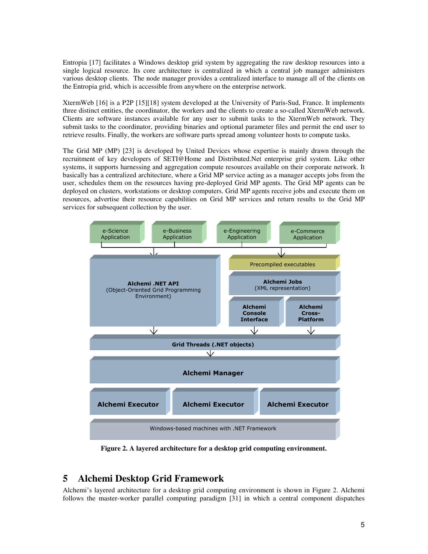Entropia [17] facilitates a Windows desktop grid system by aggregating the raw desktop resources into a single logical resource. Its core architecture is centralized in which a central job manager administers various desktop clients. The node manager provides a centralized interface to manage all of the clients on the Entropia grid, which is accessible from anywhere on the enterprise network.

XtermWeb [16] is a P2P [15][18] system developed at the University of Paris-Sud, France. It implements three distinct entities, the coordinator, the workers and the clients to create a so-called XtermWeb network. Clients are software instances available for any user to submit tasks to the XtermWeb network. They submit tasks to the coordinator, providing binaries and optional parameter files and permit the end user to retrieve results. Finally, the workers are software parts spread among volunteer hosts to compute tasks.

The Grid MP (MP) [23] is developed by United Devices whose expertise is mainly drawn through the recruitment of key developers of SETI@Home and Distributed.Net enterprise grid system. Like other systems, it supports harnessing and aggregation compute resources available on their corporate network. It basically has a centralized architecture, where a Grid MP service acting as a manager accepts jobs from the user, schedules them on the resources having pre-deployed Grid MP agents. The Grid MP agents can be deployed on clusters, workstations or desktop computers. Grid MP agents receive jobs and execute them on resources, advertise their resource capabilities on Grid MP services and return results to the Grid MP services for subsequent collection by the user.



Figure 2. A layered architecture for a desktop grid computing environment.

## 5 Alchemi Desktop Grid Framework

Alchemi's layered architecture for a desktop grid computing environment is shown in Figure 2. Alchemi follows the master-worker parallel computing paradigm [31] in which a central component dispatches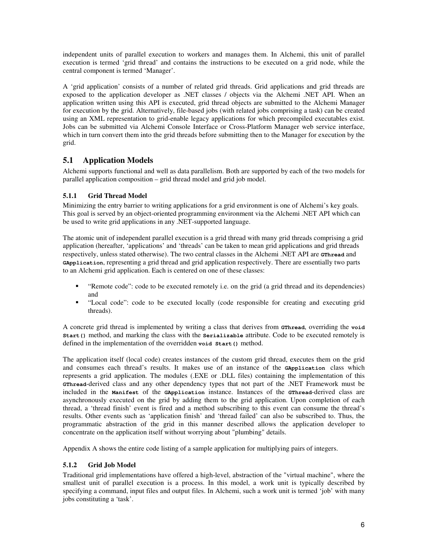independent units of parallel execution to workers and manages them. In Alchemi, this unit of parallel execution is termed 'grid thread' and contains the instructions to be executed on a grid node, while the central component is termed 'Manager'.

A 'grid application' consists of a number of related grid threads. Grid applications and grid threads are exposed to the application developer as .NET classes / objects via the Alchemi .NET API. When an application written using this API is executed, grid thread objects are submitted to the Alchemi Manager for execution by the grid. Alternatively, file-based jobs (with related jobs comprising a task) can be created using an XML representation to grid-enable legacy applications for which precompiled executables exist. Jobs can be submitted via Alchemi Console Interface or Cross-Platform Manager web service interface, which in turn convert them into the grid threads before submitting then to the Manager for execution by the grid.

## 5.1 Application Models

Alchemi supports functional and well as data parallelism. Both are supported by each of the two models for parallel application composition – grid thread model and grid job model.

### 5.1.1 Grid Thread Model

Minimizing the entry barrier to writing applications for a grid environment is one of Alchemi's key goals. This goal is served by an object-oriented programming environment via the Alchemi .NET API which can be used to write grid applications in any .NET-supported language.

The atomic unit of independent parallel execution is a grid thread with many grid threads comprising a grid application (hereafter, 'applications' and 'threads' can be taken to mean grid applications and grid threads respectively, unless stated otherwise). The two central classes in the Alchemi .NET API are GThread and GApplication, representing a grid thread and grid application respectively. There are essentially two parts to an Alchemi grid application. Each is centered on one of these classes:

- "Remote code": code to be executed remotely i.e. on the grid (a grid thread and its dependencies) and
- "Local code": code to be executed locally (code responsible for creating and executing grid threads).

A concrete grid thread is implemented by writing a class that derives from GThread, overriding the void Start() method, and marking the class with the Serializable attribute. Code to be executed remotely is defined in the implementation of the overridden void start() method.

The application itself (local code) creates instances of the custom grid thread, executes them on the grid and consumes each thread's results. It makes use of an instance of the GApplication class which represents a grid application. The modules (.EXE or .DLL files) containing the implementation of this GThread-derived class and any other dependency types that not part of the .NET Framework must be included in the Manifest of the GApplication instance. Instances of the GThread-derived class are asynchronously executed on the grid by adding them to the grid application. Upon completion of each thread, a 'thread finish' event is fired and a method subscribing to this event can consume the thread's results. Other events such as 'application finish' and 'thread failed' can also be subscribed to. Thus, the programmatic abstraction of the grid in this manner described allows the application developer to concentrate on the application itself without worrying about "plumbing" details.

Appendix A shows the entire code listing of a sample application for multiplying pairs of integers.

### 5.1.2 Grid Job Model

Traditional grid implementations have offered a high-level, abstraction of the "virtual machine", where the smallest unit of parallel execution is a process. In this model, a work unit is typically described by specifying a command, input files and output files. In Alchemi, such a work unit is termed 'job' with many jobs constituting a 'task'.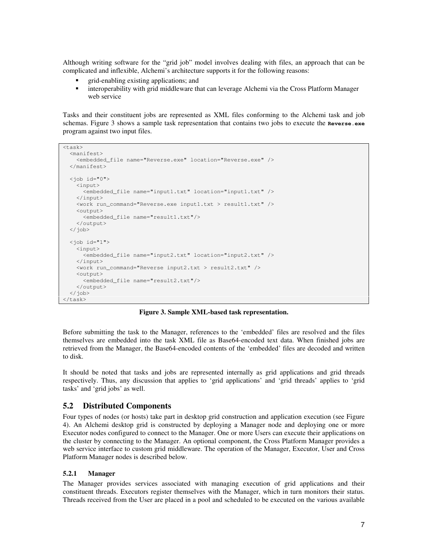Although writing software for the "grid job" model involves dealing with files, an approach that can be complicated and inflexible, Alchemi's architecture supports it for the following reasons:

- grid-enabling existing applications; and
- interoperability with grid middleware that can leverage Alchemi via the Cross Platform Manager web service

Tasks and their constituent jobs are represented as XML files conforming to the Alchemi task and job schemas. Figure 3 shows a sample task representation that contains two jobs to execute the Reverse.exe program against two input files.

```
<task> 
   <manifest> 
     <embedded_file name="Reverse.exe" location="Reverse.exe" /> 
   </manifest> 
   id="0">
    <input> 
       <embedded_file name="input1.txt" location="input1.txt" /> 
     </input> 
     <work run_command="Reverse.exe input1.txt > result1.txt" /> 
     <output> 
       <embedded_file name="result1.txt"/> 
     </output> 
   </job> 
   id="1">
     <input> 
       <embedded_file name="input2.txt" location="input2.txt" /> 
     </input> 
     <work run_command="Reverse input2.txt > result2.txt" /> 
    <output> 
       <embedded_file name="result2.txt"/> 
     </output> 
   </job> 
</task>
```
Figure 3. Sample XML-based task representation.

Before submitting the task to the Manager, references to the 'embedded' files are resolved and the files themselves are embedded into the task XML file as Base64-encoded text data. When finished jobs are retrieved from the Manager, the Base64-encoded contents of the 'embedded' files are decoded and written to disk.

It should be noted that tasks and jobs are represented internally as grid applications and grid threads respectively. Thus, any discussion that applies to 'grid applications' and 'grid threads' applies to 'grid tasks' and 'grid jobs' as well.

### 5.2 Distributed Components

Four types of nodes (or hosts) take part in desktop grid construction and application execution (see Figure 4). An Alchemi desktop grid is constructed by deploying a Manager node and deploying one or more Executor nodes configured to connect to the Manager. One or more Users can execute their applications on the cluster by connecting to the Manager. An optional component, the Cross Platform Manager provides a web service interface to custom grid middleware. The operation of the Manager, Executor, User and Cross Platform Manager nodes is described below.

#### 5.2.1 Manager

The Manager provides services associated with managing execution of grid applications and their constituent threads. Executors register themselves with the Manager, which in turn monitors their status. Threads received from the User are placed in a pool and scheduled to be executed on the various available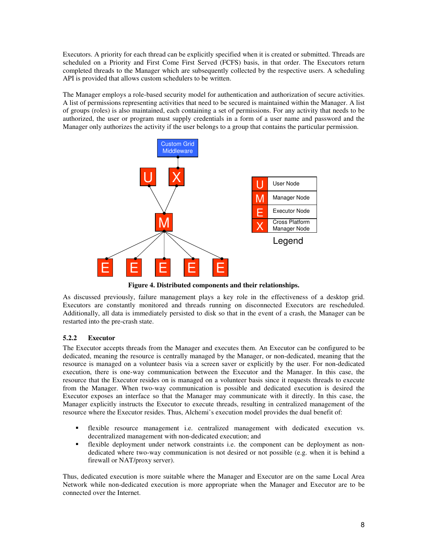Executors. A priority for each thread can be explicitly specified when it is created or submitted. Threads are scheduled on a Priority and First Come First Served (FCFS) basis, in that order. The Executors return completed threads to the Manager which are subsequently collected by the respective users. A scheduling API is provided that allows custom schedulers to be written.

The Manager employs a role-based security model for authentication and authorization of secure activities. A list of permissions representing activities that need to be secured is maintained within the Manager. A list of groups (roles) is also maintained, each containing a set of permissions. For any activity that needs to be authorized, the user or program must supply credentials in a form of a user name and password and the Manager only authorizes the activity if the user belongs to a group that contains the particular permission.



Figure 4. Distributed components and their relationships.

As discussed previously, failure management plays a key role in the effectiveness of a desktop grid. Executors are constantly monitored and threads running on disconnected Executors are rescheduled. Additionally, all data is immediately persisted to disk so that in the event of a crash, the Manager can be restarted into the pre-crash state.

#### 5.2.2 Executor

The Executor accepts threads from the Manager and executes them. An Executor can be configured to be dedicated, meaning the resource is centrally managed by the Manager, or non-dedicated, meaning that the resource is managed on a volunteer basis via a screen saver or explicitly by the user. For non-dedicated execution, there is one-way communication between the Executor and the Manager. In this case, the resource that the Executor resides on is managed on a volunteer basis since it requests threads to execute from the Manager. When two-way communication is possible and dedicated execution is desired the Executor exposes an interface so that the Manager may communicate with it directly. In this case, the Manager explicitly instructs the Executor to execute threads, resulting in centralized management of the resource where the Executor resides. Thus, Alchemi's execution model provides the dual benefit of:

- flexible resource management i.e. centralized management with dedicated execution vs. decentralized management with non-dedicated execution; and
- flexible deployment under network constraints i.e. the component can be deployment as nondedicated where two-way communication is not desired or not possible (e.g. when it is behind a firewall or NAT/proxy server).

Thus, dedicated execution is more suitable where the Manager and Executor are on the same Local Area Network while non-dedicated execution is more appropriate when the Manager and Executor are to be connected over the Internet.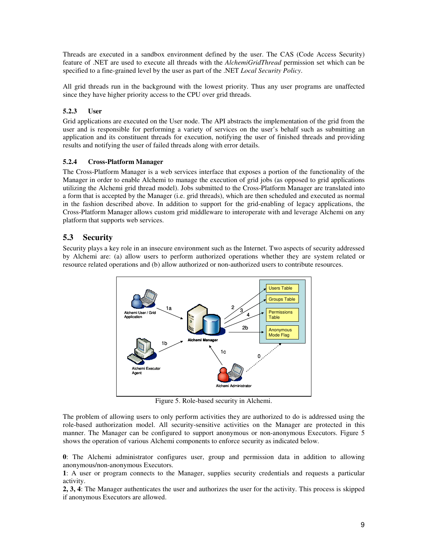Threads are executed in a sandbox environment defined by the user. The CAS (Code Access Security) feature of .NET are used to execute all threads with the *AlchemiGridThread* permission set which can be specified to a fine-grained level by the user as part of the .NET *Local Security Policy*.

All grid threads run in the background with the lowest priority. Thus any user programs are unaffected since they have higher priority access to the CPU over grid threads.

### 5.2.3 User

Grid applications are executed on the User node. The API abstracts the implementation of the grid from the user and is responsible for performing a variety of services on the user's behalf such as submitting an application and its constituent threads for execution, notifying the user of finished threads and providing results and notifying the user of failed threads along with error details.

### 5.2.4 Cross-Platform Manager

The Cross-Platform Manager is a web services interface that exposes a portion of the functionality of the Manager in order to enable Alchemi to manage the execution of grid jobs (as opposed to grid applications utilizing the Alchemi grid thread model). Jobs submitted to the Cross-Platform Manager are translated into a form that is accepted by the Manager (i.e. grid threads), which are then scheduled and executed as normal in the fashion described above. In addition to support for the grid-enabling of legacy applications, the Cross-Platform Manager allows custom grid middleware to interoperate with and leverage Alchemi on any platform that supports web services.

## 5.3 Security

Security plays a key role in an insecure environment such as the Internet. Two aspects of security addressed by Alchemi are: (a) allow users to perform authorized operations whether they are system related or resource related operations and (b) allow authorized or non-authorized users to contribute resources.



Figure 5. Role-based security in Alchemi.

The problem of allowing users to only perform activities they are authorized to do is addressed using the role-based authorization model. All security-sensitive activities on the Manager are protected in this manner. The Manager can be configured to support anonymous or non-anonymous Executors. Figure 5 shows the operation of various Alchemi components to enforce security as indicated below.

0: The Alchemi administrator configures user, group and permission data in addition to allowing anonymous/non-anonymous Executors.

1: A user or program connects to the Manager, supplies security credentials and requests a particular activity.

2, 3, 4: The Manager authenticates the user and authorizes the user for the activity. This process is skipped if anonymous Executors are allowed.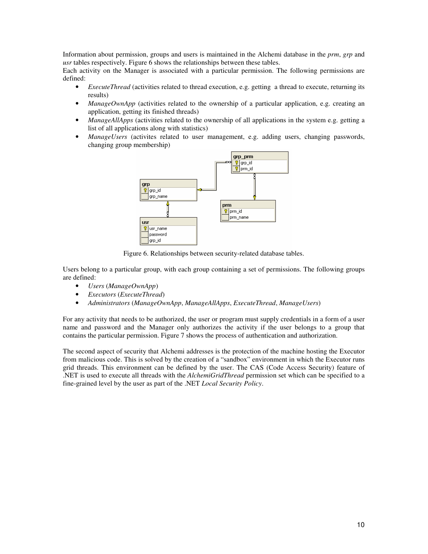Information about permission, groups and users is maintained in the Alchemi database in the prm, grp and usr tables respectively. Figure 6 shows the relationships between these tables.

Each activity on the Manager is associated with a particular permission. The following permissions are defined:

- ExecuteThread (activities related to thread execution, e.g. getting a thread to execute, returning its results)
- ManageOwnApp (activities related to the ownership of a particular application, e.g. creating an application, getting its finished threads)
- ManageAllApps (activities related to the ownership of all applications in the system e.g. getting a list of all applications along with statistics)
- *ManageUsers* (activites related to user management, e.g. adding users, changing passwords, changing group membership)



Figure 6. Relationships between security-related database tables.

Users belong to a particular group, with each group containing a set of permissions. The following groups are defined:

- Users (ManageOwnApp)
- Executors (ExecuteThread)
- Administrators (ManageOwnApp, ManageAllApps, ExecuteThread, ManageUsers)

For any activity that needs to be authorized, the user or program must supply credentials in a form of a user name and password and the Manager only authorizes the activity if the user belongs to a group that contains the particular permission. Figure 7 shows the process of authentication and authorization.

The second aspect of security that Alchemi addresses is the protection of the machine hosting the Executor from malicious code. This is solved by the creation of a "sandbox" environment in which the Executor runs grid threads. This environment can be defined by the user. The CAS (Code Access Security) feature of .NET is used to execute all threads with the *AlchemiGridThread* permission set which can be specified to a fine-grained level by the user as part of the .NET Local Security Policy.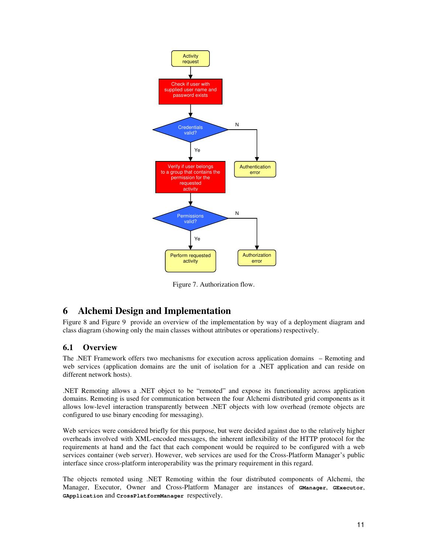

Figure 7. Authorization flow.

# 6 Alchemi Design and Implementation

Figure 8 and Figure 9 provide an overview of the implementation by way of a deployment diagram and class diagram (showing only the main classes without attributes or operations) respectively.

### 6.1 Overview

The .NET Framework offers two mechanisms for execution across application domains – Remoting and web services (application domains are the unit of isolation for a .NET application and can reside on different network hosts).

.NET Remoting allows a .NET object to be "remoted" and expose its functionality across application domains. Remoting is used for communication between the four Alchemi distributed grid components as it allows low-level interaction transparently between .NET objects with low overhead (remote objects are configured to use binary encoding for messaging).

Web services were considered briefly for this purpose, but were decided against due to the relatively higher overheads involved with XML-encoded messages, the inherent inflexibility of the HTTP protocol for the requirements at hand and the fact that each component would be required to be configured with a web services container (web server). However, web services are used for the Cross-Platform Manager's public interface since cross-platform interoperability was the primary requirement in this regard.

The objects remoted using .NET Remoting within the four distributed components of Alchemi, the Manager, Executor, Owner and Cross-Platform Manager are instances of GManager, GExecutor, GApplication and CrossPlatformManager respectively.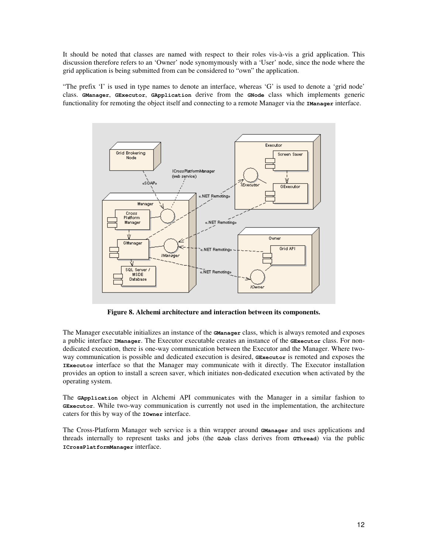It should be noted that classes are named with respect to their roles vis-à-vis a grid application. This discussion therefore refers to an 'Owner' node synomymously with a 'User' node, since the node where the grid application is being submitted from can be considered to "own" the application.

"The prefix 'I' is used in type names to denote an interface, whereas 'G' is used to denote a 'grid node' class. GManager, GExecutor, GApplication derive from the GNode class which implements generic functionality for remoting the object itself and connecting to a remote Manager via the IManager interface.



Figure 8. Alchemi architecture and interaction between its components.

The Manager executable initializes an instance of the GManager class, which is always remoted and exposes a public interface IManager. The Executor executable creates an instance of the **GExecutor** class. For nondedicated execution, there is one-way communication between the Executor and the Manager. Where twoway communication is possible and dedicated execution is desired, GExecutor is remoted and exposes the IExecutor interface so that the Manager may communicate with it directly. The Executor installation provides an option to install a screen saver, which initiates non-dedicated execution when activated by the operating system.

The GApplication object in Alchemi API communicates with the Manager in a similar fashion to GExecutor. While two-way communication is currently not used in the implementation, the architecture caters for this by way of the IOwner interface.

The Cross-Platform Manager web service is a thin wrapper around GManager and uses applications and threads internally to represent tasks and jobs (the GJob class derives from GThread) via the public ICrossPlatformManager interface.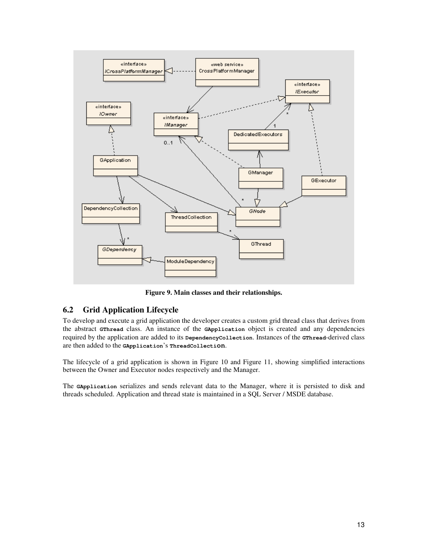

Figure 9. Main classes and their relationships.

### 6.2 Grid Application Lifecycle

To develop and execute a grid application the developer creates a custom grid thread class that derives from the abstract GThread class. An instance of the GApplication object is created and any dependencies required by the application are added to its DependencyCollection. Instances of the GThread-derived class are then added to the GApplication's ThreadCollection.

The lifecycle of a grid application is shown in Figure 10 and Figure 11, showing simplified interactions between the Owner and Executor nodes respectively and the Manager.

The GApplication serializes and sends relevant data to the Manager, where it is persisted to disk and threads scheduled. Application and thread state is maintained in a SQL Server / MSDE database.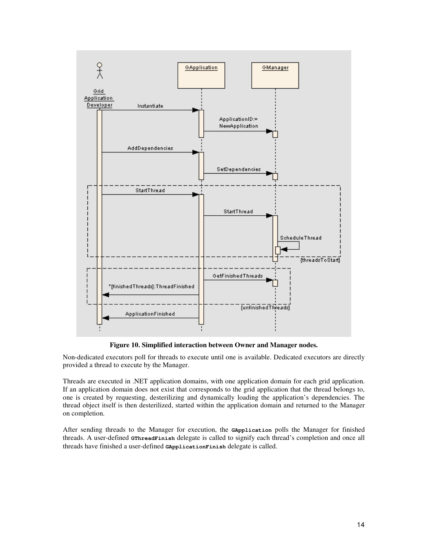

Figure 10. Simplified interaction between Owner and Manager nodes.

Non-dedicated executors poll for threads to execute until one is available. Dedicated executors are directly provided a thread to execute by the Manager.

Threads are executed in .NET application domains, with one application domain for each grid application. If an application domain does not exist that corresponds to the grid application that the thread belongs to, one is created by requesting, desterilizing and dynamically loading the application's dependencies. The thread object itself is then desterilized, started within the application domain and returned to the Manager on completion.

After sending threads to the Manager for execution, the **GApplication** polls the Manager for finished threads. A user-defined GThreadFinish delegate is called to signify each thread's completion and once all threads have finished a user-defined GApplicationFinish delegate is called.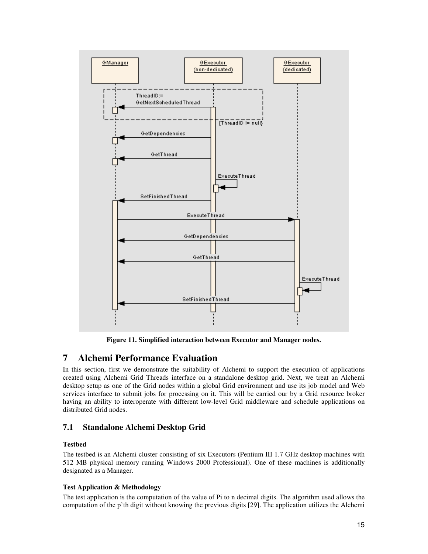

Figure 11. Simplified interaction between Executor and Manager nodes.

## 7 Alchemi Performance Evaluation

In this section, first we demonstrate the suitability of Alchemi to support the execution of applications created using Alchemi Grid Threads interface on a standalone desktop grid. Next, we treat an Alchemi desktop setup as one of the Grid nodes within a global Grid environment and use its job model and Web services interface to submit jobs for processing on it. This will be carried our by a Grid resource broker having an ability to interoperate with different low-level Grid middleware and schedule applications on distributed Grid nodes.

## 7.1 Standalone Alchemi Desktop Grid

### Testbed

The testbed is an Alchemi cluster consisting of six Executors (Pentium III 1.7 GHz desktop machines with 512 MB physical memory running Windows 2000 Professional). One of these machines is additionally designated as a Manager.

#### Test Application & Methodology

The test application is the computation of the value of Pi to n decimal digits. The algorithm used allows the computation of the p'th digit without knowing the previous digits [29]. The application utilizes the Alchemi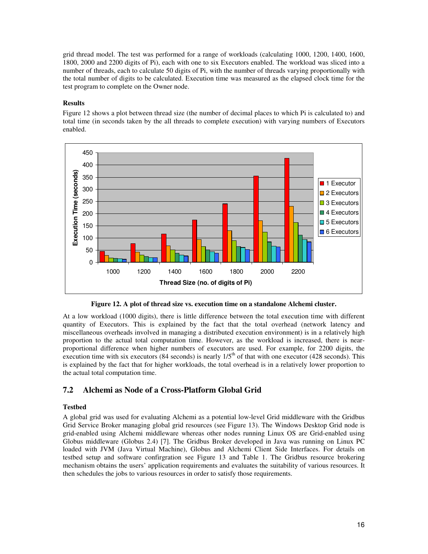grid thread model. The test was performed for a range of workloads (calculating 1000, 1200, 1400, 1600, 1800, 2000 and 2200 digits of Pi), each with one to six Executors enabled. The workload was sliced into a number of threads, each to calculate 50 digits of Pi, with the number of threads varying proportionally with the total number of digits to be calculated. Execution time was measured as the elapsed clock time for the test program to complete on the Owner node.

### Results

Figure 12 shows a plot between thread size (the number of decimal places to which Pi is calculated to) and total time (in seconds taken by the all threads to complete execution) with varying numbers of Executors enabled.



Figure 12. A plot of thread size vs. execution time on a standalone Alchemi cluster.

At a low workload (1000 digits), there is little difference between the total execution time with different quantity of Executors. This is explained by the fact that the total overhead (network latency and miscellaneous overheads involved in managing a distributed execution environment) is in a relatively high proportion to the actual total computation time. However, as the workload is increased, there is nearproportional difference when higher numbers of executors are used. For example, for 2200 digits, the execution time with six executors (84 seconds) is nearly  $1/5<sup>th</sup>$  of that with one executor (428 seconds). This is explained by the fact that for higher workloads, the total overhead is in a relatively lower proportion to the actual total computation time.

### 7.2 Alchemi as Node of a Cross-Platform Global Grid

### Testbed

A global grid was used for evaluating Alchemi as a potential low-level Grid middleware with the Gridbus Grid Service Broker managing global grid resources (see Figure 13). The Windows Desktop Grid node is grid-enabled using Alchemi middleware whereas other nodes running Linux OS are Grid-enabled using Globus middleware (Globus 2.4) [7]. The Gridbus Broker developed in Java was running on Linux PC loaded with JVM (Java Virtual Machine), Globus and Alchemi Client Side Interfaces. For details on testbed setup and software confirgration see Figure 13 and Table 1. The Gridbus resource brokering mechanism obtains the users' application requirements and evaluates the suitability of various resources. It then schedules the jobs to various resources in order to satisfy those requirements.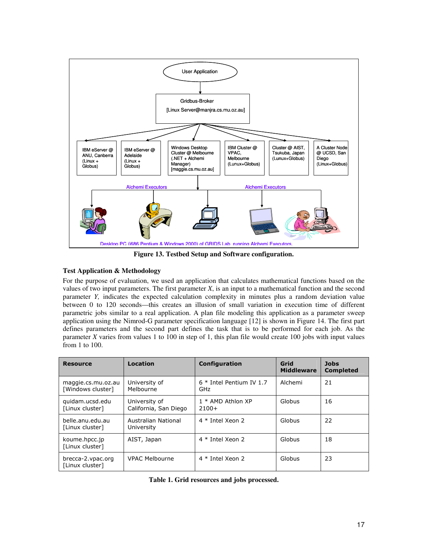

Figure 13. Testbed Setup and Software configuration.

### Test Application & Methodology

For the purpose of evaluation, we used an application that calculates mathematical functions based on the values of two input parameters. The first parameter  $X$ , is an input to a mathematical function and the second parameter Y, indicates the expected calculation complexity in minutes plus a random deviation value between 0 to 120 seconds—this creates an illusion of small variation in execution time of different parametric jobs similar to a real application. A plan file modeling this application as a parameter sweep application using the Nimrod-G parameter specification language [12] is shown in Figure 14. The first part defines parameters and the second part defines the task that is to be performed for each job. As the parameter X varies from values 1 to 100 in step of 1, this plan file would create 100 jobs with input values from 1 to 100.

| <b>Resource</b>                         | <b>Location</b>                        | <b>Configuration</b>              | Grid<br><b>Middleware</b> | <b>Jobs</b><br><b>Completed</b> |
|-----------------------------------------|----------------------------------------|-----------------------------------|---------------------------|---------------------------------|
| maggie.cs.mu.oz.au<br>[Windows cluster] | University of<br>Melbourne             | $6 *$ Intel Pentium IV 1.7<br>GHz | Alchemi                   | 21                              |
| quidam.ucsd.edu<br>[Linux cluster]      | University of<br>California, San Diego | $1 *$ AMD Athlon XP<br>$2100+$    | Globus                    | 16                              |
| belle anu edu au<br>[Linux cluster]     | Australian National<br>University      | $4 *$ Intel Xeon 2                | Globus                    | 22                              |
| koume.hpcc.jp<br>[Linux cluster]        | AIST, Japan                            | $4 *$ Intel Xeon 2                | Globus                    | 18                              |
| brecca-2.vpac.org<br>[Linux cluster]    | <b>VPAC Melbourne</b>                  | $4 *$ Intel Xeon 2                | Globus                    | 23                              |

|  |  |  |  |  | Table 1. Grid resources and jobs processed. |
|--|--|--|--|--|---------------------------------------------|
|--|--|--|--|--|---------------------------------------------|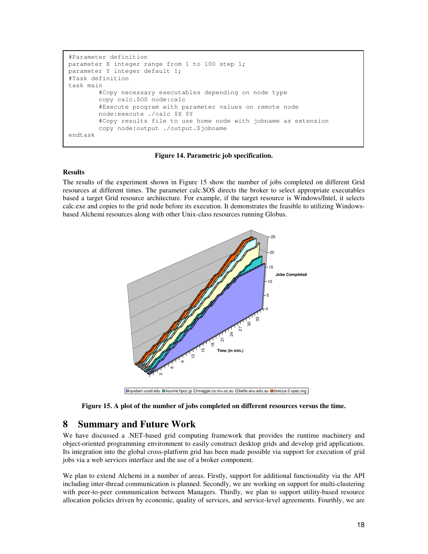```
#Parameter definition 
parameter X integer range from 1 to 100 step 1; 
parameter Y integer default 1; 
#Task definition 
task main 
         #Copy necessary executables depending on node type 
         copy calc.$OS node:calc 
         #Execute program with parameter values on remote node 
         node:execute ./calc $X $Y 
         #Copy results file to use home node with jobname as extension 
         copy node:output ./output.$jobname 
endtask
```
#### Figure 14. Parametric job specification.

#### **Results**

The results of the experiment shown in Figure 15 show the number of jobs completed on different Grid resources at different times. The parameter calc.\$OS directs the broker to select appropriate executables based a target Grid resource architecture. For example, if the target resource is Windows/Intel, it selects calc.exe and copies to the grid node before its execution. It demonstrates the feasible to utilizing Windowsbased Alchemi resources along with other Unix-class resources running Globus.



Figure 15. A plot of the number of jobs completed on different resources versus the time.

## 8 Summary and Future Work

We have discussed a .NET-based grid computing framework that provides the runtime machinery and object-oriented programming environment to easily construct desktop grids and develop grid applications. Its integration into the global cross-platform grid has been made possible via support for execution of grid jobs via a web services interface and the use of a broker component.

We plan to extend Alchemi in a number of areas. Firstly, support for additional functionality via the API including inter-thread communication is planned. Secondly, we are working on support for multi-clustering with peer-to-peer communication between Managers. Thirdly, we plan to support utility-based resource allocation policies driven by economic, quality of services, and service-level agreements. Fourthly, we are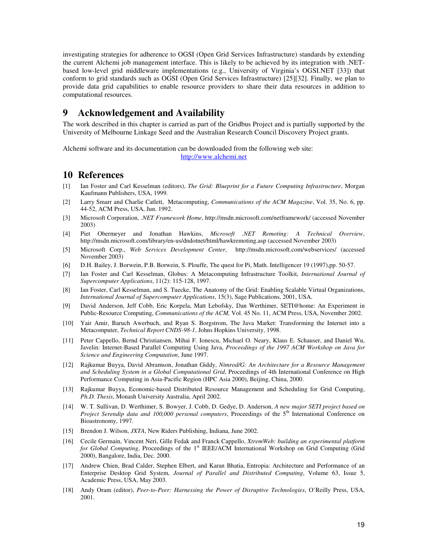investigating strategies for adherence to OGSI (Open Grid Services Infrastructure) standards by extending the current Alchemi job management interface. This is likely to be achieved by its integration with .NETbased low-level grid middleware implementations (e.g., University of Virginia's OGSI.NET [33]) that conform to grid standards such as OGSI (Open Grid Services Infrastructure) [25][32]. Finally, we plan to provide data grid capabilities to enable resource providers to share their data resources in addition to computational resources.

## 9 Acknowledgement and Availability

The work described in this chapter is carried as part of the Gridbus Project and is partially supported by the University of Melbourne Linkage Seed and the Australian Research Council Discovery Project grants.

Alchemi software and its documentation can be downloaded from the following web site:

http://www.alchemi.net

## 10 References

- [1] Ian Foster and Carl Kesselman (editors), The Grid: Blueprint for a Future Computing Infrastructure, Morgan Kaufmann Publishers, USA, 1999.
- [2] Larry Smarr and Charlie Catlett, Metacomputing, *Communications of the ACM Magazine*, Vol. 35, No. 6, pp. 44-52, ACM Press, USA, Jun. 1992.
- [3] Microsoft Corporation, .NET Framework Home, http://msdn.microsoft.com/netframework/ (accessed November 2003)
- [4] Piet Obermeyer and Jonathan Hawkins, Microsoft .NET Remoting: A Technical Overview, http://msdn.microsoft.com/library/en-us/dndotnet/html/hawkremoting.asp (accessed November 2003)
- [5] Microsoft Corp., Web Services Development Center, http://msdn.microsoft.com/webservices/ (accessed November 2003)
- [6] D.H. Bailey, J. Borwein, P.B. Borwein, S. Plouffe, The quest for Pi, Math. Intelligencer 19 (1997),pp. 50-57.
- [7] Ian Foster and Carl Kesselman, Globus: A Metacomputing Infrastructure Toolkit, *International Journal of* Supercomputer Applications, 11(2): 115-128, 1997.
- [8] Ian Foster, Carl Kesselman, and S. Tuecke, The Anatomy of the Grid: Enabling Scalable Virtual Organizations, International Journal of Supercomputer Applications, 15(3), Sage Publications, 2001, USA.
- [9] David Anderson, Jeff Cobb, Eric Korpela, Matt Lebofsky, Dan Werthimer, SETI@home: An Experiment in Public-Resource Computing, Communications of the ACM, Vol. 45 No. 11, ACM Press, USA, November 2002.
- [10] Yair Amir, Baruch Awerbuch, and Ryan S. Borgstrom, The Java Market: Transforming the Internet into a Metacomputer, Technical Report CNDS-98-1, Johns Hopkins University, 1998.
- [11] Peter Cappello, Bernd Christiansen, Mihai F. Ionescu, Michael O. Neary, Klaus E. Schauser, and Daniel Wu, Javelin: Internet-Based Parallel Computing Using Java, Proceedings of the 1997 ACM Workshop on Java for Science and Engineering Computation, June 1997.
- [12] Rajkumar Buyya, David Abramson, Jonathan Giddy, Nimrod/G: An Architecture for a Resource Management and Scheduling System in a Global Computational Grid, Proceedings of 4th International Conference on High Performance Computing in Asia-Pacific Region (HPC Asia 2000), Beijing, China, 2000.
- [13] Rajkumar Buyya, Economic-based Distributed Resource Management and Scheduling for Grid Computing, Ph.D. Thesis, Monash University Australia, April 2002.
- [14] W. T. Sullivan, D. Werthimer, S. Bowyer, J. Cobb, D. Gedye, D. Anderson, A new major SETI project based on Project Serendip data and 100,000 personal computers, Proceedings of the 5<sup>th</sup> International Conference on Bioastronomy, 1997.
- [15] Brendon J. Wilson, JXTA, New Riders Publishing, Indiana, June 2002.
- [16] Cecile Germain, Vincent Neri, Gille Fedak and Franck Cappello, XtremWeb: building an experimental platform for Global Computing, Proceedings of the 1<sup>st</sup> IEEE/ACM International Workshop on Grid Computing (Grid 2000), Bangalore, India, Dec. 2000.
- [17] Andrew Chien, Brad Calder, Stephen Elbert, and Karan Bhatia, Entropia: Architecture and Performance of an Enterprise Desktop Grid System, Journal of Parallel and Distributed Computing, Volume 63, Issue 5, Academic Press, USA, May 2003.
- [18] Andy Oram (editor), Peer-to-Peer: Harnessing the Power of Disruptive Technologies, O'Reilly Press, USA, 2001.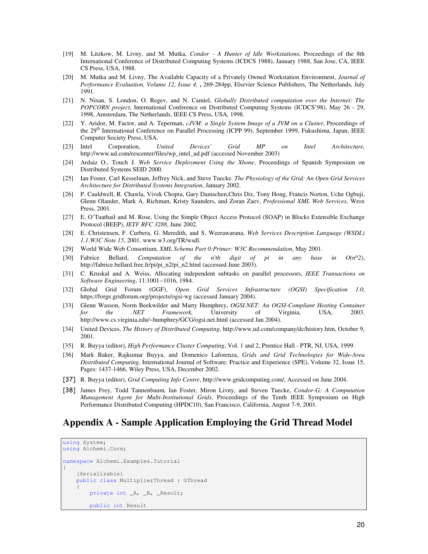- [19] M. Litzkow, M. Livny, and M. Mutka, Condor A Hunter of Idle Workstations, Proceedings of the 8th International Conference of Distributed Computing Systems (ICDCS 1988), January 1988, San Jose, CA, IEEE CS Press, USA, 1988.
- [20] M. Mutka and M. Livny, The Available Capacity of a Privately Owned Workstation Environment, Journal of Performance Evaluation, Volume 12, Issue 4, , 269-284pp, Elsevier Science Publishers, The Netherlands, July 1991.
- [21] N. Nisan, S. London, O. Regev, and N. Camiel, Globally Distributed computation over the Internet: The POPCORN project, International Conference on Distributed Computing Systems (ICDCS'98), May 26 - 29, 1998, Amsterdam, The Netherlands, IEEE CS Press, USA, 1998.
- [22] Y. Aridor, M. Factor, and A. Teperman, cJVM: a Single System Image of a JVM on a Cluster, Proceedings of the 29<sup>th</sup> International Conference on Parallel Processing (ICPP 99), September 1999, Fukushima, Japan, IEEE Computer Society Press, USA.
- [23] Intel Corporation, United Devices' Grid MP on Intel Architecture, http://www.ud.com/rescenter/files/wp\_intel\_ud.pdf (accessed November 2003)
- [24] Ardaiz O., Touch J. Web Service Deployment Using the Xbone, Proceedings of Spanish Symposium on Distributed Systems SEID 2000.
- [25] Ian Foster, Carl Kesselman, Jeffrey Nick, and Steve Tuecke. The Physiology of the Grid: An Open Grid Services Architecture for Distributed Systems Integration, January 2002.
- [26] P. Cauldwell, R. Chawla, Vivek Chopra, Gary Damschen,Chris Dix, Tony Hong, Francis Norton, Uche Ogbuji, Glenn Olander, Mark A. Richman, Kristy Saunders, and Zoran Zaev, Professional XML Web Services, Wrox Press, 2001.
- [27] E. O'Tuathail and M. Rose, Using the Simple Object Access Protocol (SOAP) in Blocks Extensible Exchange Protocol (BEEP), IETF RFC 3288, June 2002.
- [28] E. Christensen, F. Curbera, G. Meredith, and S. Weerawarana, Web Services Description Language (WSDL) 1.1.W3C Note 15, 2001. www.w3.org/TR/wsdl.
- [29] World Wide Web Consortium, XML Schema Part 0:Primer: W3C Recommendation, May 2001.
- [30] Fabrice Bellard, Computation of the n'th digit of pi in any base in  $O(n^2)$ , http://fabrice.bellard.free.fr/pi/pi\_n2/pi\_n2.html (accessed June 2003).
- [31] C. Kruskal and A. Weiss, Allocating independent subtasks on parallel processors, IEEE Transactions on Software Engineering, 11:1001--1016, 1984.
- [32] Global Grid Forum (GGF), Open Grid Services Infrastructure (OGSI) Specification 1.0, https://forge.gridforum.org/projects/ogsi-wg (accessed January 2004).
- [33] Glenn Wasson, Norm Beekwilder and Marty Humphrey, OGSI.NET: An OGSI-Compliant Hosting Container for the .NET Framework, University of Virginia, USA, 2003. http://www.cs.virginia.edu/~humphrey/GCG/ogsi.net.html (accessed Jan 2004).
- [34] United Devices, The History of Distributed Computing, http://www.ud.com/company/dc/history.htm, October 9, 2001.
- [35] R. Buyya (editor), High Performance Cluster Computing, Vol. 1 and 2, Prentice Hall PTR, NJ, USA, 1999.
- [36] Mark Baker, Rajkumar Buyya, and Domenico Laforenza, Grids and Grid Technologies for Wide-Area Distributed Computing, International Journal of Software: Practice and Experience (SPE), Volume 32, Issue 15, Pages: 1437-1466, Wiley Press, USA, December 2002.
- [37] R. Buyya (editor), Grid Computing Info Centre, http://www.gridcomputing.com/, Accessed on June 2004.
- [38] James Frey, Todd Tannenbaum, Ian Foster, Miron Livny, and Steven Tuecke, Condor-G: A Computation Management Agent for Multi-Institutional Grids, Proceedings of the Tenth IEEE Symposium on High Performance Distributed Computing (HPDC10), San Francisco, California, August 7-9, 2001.

## Appendix A - Sample Application Employing the Grid Thread Model

```
using System; 
using Alchemi.Core; 
namespace Alchemi.Examples.Tutorial 
{ 
      [Serializable] 
     public class MultiplierThread : GThread 
\left\{\begin{array}{ccc} \end{array}\right\} private int _A, _B, _Result; 
           public int Result
```